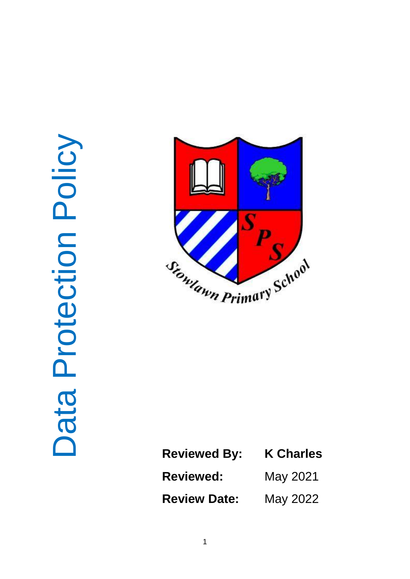Data Protection Policy Data Protection Policy



| <b>Reviewed By:</b> | <b>K Charles</b> |
|---------------------|------------------|
| <b>Reviewed:</b>    | May 2021         |
| <b>Review Date:</b> | May 2022         |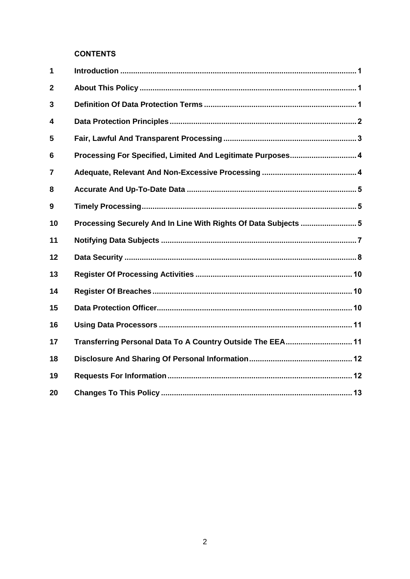# **CONTENTS**

| 1              |                                                                 |
|----------------|-----------------------------------------------------------------|
| 2              |                                                                 |
| 3              |                                                                 |
| 4              |                                                                 |
| 5              |                                                                 |
| 6              |                                                                 |
| $\overline{7}$ |                                                                 |
| 8              |                                                                 |
| 9              |                                                                 |
| 10             | Processing Securely And In Line With Rights Of Data Subjects  5 |
| 11             |                                                                 |
| 12             |                                                                 |
| 13             |                                                                 |
| 14             |                                                                 |
| 15             |                                                                 |
| 16             |                                                                 |
| 17             | Transferring Personal Data To A Country Outside The EEA 11      |
| 18             |                                                                 |
| 19             |                                                                 |
| 20             |                                                                 |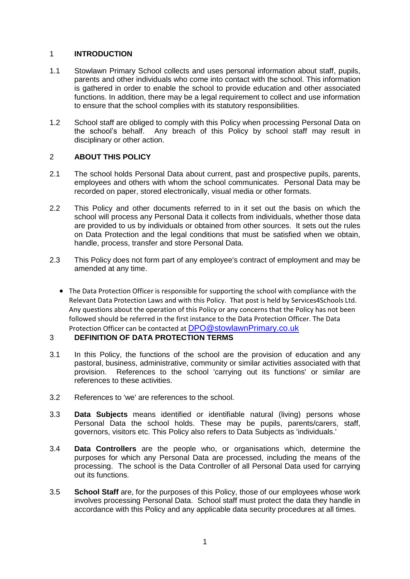# <span id="page-2-0"></span>1 **INTRODUCTION**

- 1.1 Stowlawn Primary School collects and uses personal information about staff, pupils, parents and other individuals who come into contact with the school. This information is gathered in order to enable the school to provide education and other associated functions. In addition, there may be a legal requirement to collect and use information to ensure that the school complies with its statutory responsibilities.
- 1.2 School staff are obliged to comply with this Policy when processing Personal Data on the school's behalf. Any breach of this Policy by school staff may result in disciplinary or other action.

# <span id="page-2-1"></span>2 **ABOUT THIS POLICY**

- 2.1 The school holds Personal Data about current, past and prospective pupils, parents, employees and others with whom the school communicates. Personal Data may be recorded on paper, stored electronically, visual media or other formats.
- 2.2 This Policy and other documents referred to in it set out the basis on which the school will process any Personal Data it collects from individuals, whether those data are provided to us by individuals or obtained from other sources. It sets out the rules on Data Protection and the legal conditions that must be satisfied when we obtain, handle, process, transfer and store Personal Data.
- 2.3 This Policy does not form part of any employee's contract of employment and may be amended at any time.
	- The Data Protection Officer is responsible for supporting the school with compliance with the Relevant Data Protection Laws and with this Policy. That post is held by Services4Schools Ltd. Any questions about the operation of this Policy or any concerns that the Policy has not been followed should be referred in the first instance to the Data Protection Officer. The Data Protection Officer can be contacted at [DPO@stowlawnPrimary.co.uk](mailto:Stowlawnprimary.GroupEmail@wovlerhampton.gov.uk)

## <span id="page-2-2"></span>3 **DEFINITION OF DATA PROTECTION TERMS**

- 3.1 In this Policy, the functions of the school are the provision of education and any pastoral, business, administrative, community or similar activities associated with that provision. References to the school 'carrying out its functions' or similar are references to these activities.
- 3.2 References to 'we' are references to the school.
- 3.3 **Data Subjects** means identified or identifiable natural (living) persons whose Personal Data the school holds. These may be pupils, parents/carers, staff, governors, visitors etc. This Policy also refers to Data Subjects as 'individuals.'
- 3.4 **Data Controllers** are the people who, or organisations which, determine the purposes for which any Personal Data are processed, including the means of the processing. The school is the Data Controller of all Personal Data used for carrying out its functions.
- 3.5 **School Staff** are, for the purposes of this Policy, those of our employees whose work involves processing Personal Data. School staff must protect the data they handle in accordance with this Policy and any applicable data security procedures at all times.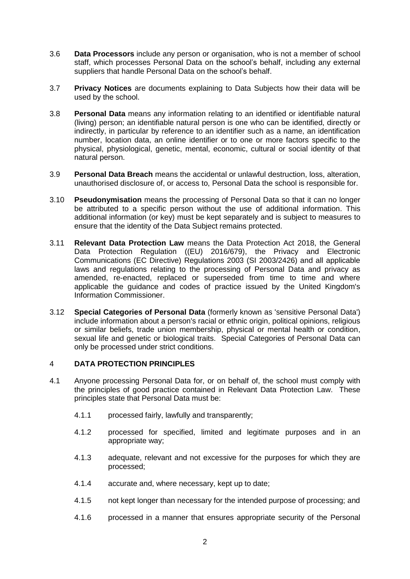- 3.6 **Data Processors** include any person or organisation, who is not a member of school staff, which processes Personal Data on the school's behalf, including any external suppliers that handle Personal Data on the school's behalf.
- 3.7 **Privacy Notices** are documents explaining to Data Subjects how their data will be used by the school.
- 3.8 **Personal Data** means any information relating to an identified or identifiable natural (living) person; an identifiable natural person is one who can be identified, directly or indirectly, in particular by reference to an identifier such as a name, an identification number, location data, an online identifier or to one or more factors specific to the physical, physiological, genetic, mental, economic, cultural or social identity of that natural person.
- 3.9 **Personal Data Breach** means the accidental or unlawful destruction, loss, alteration, unauthorised disclosure of, or access to, Personal Data the school is responsible for.
- 3.10 **Pseudonymisation** means the processing of Personal Data so that it can no longer be attributed to a specific person without the use of additional information. This additional information (or key) must be kept separately and is subject to measures to ensure that the identity of the Data Subject remains protected.
- 3.11 **Relevant Data Protection Law** means the Data Protection Act 2018, the General Data Protection Regulation ((EU) 2016/679), the Privacy and Electronic Communications (EC Directive) Regulations 2003 (SI 2003/2426) and all applicable laws and regulations relating to the processing of Personal Data and privacy as amended, re-enacted, replaced or superseded from time to time and where applicable the guidance and codes of practice issued by the United Kingdom's Information Commissioner.
- 3.12 **Special Categories of Personal Data** (formerly known as 'sensitive Personal Data') include information about a person's racial or ethnic origin, political opinions, religious or similar beliefs, trade union membership, physical or mental health or condition, sexual life and genetic or biological traits. Special Categories of Personal Data can only be processed under strict conditions.

## <span id="page-3-0"></span>4 **DATA PROTECTION PRINCIPLES**

- 4.1 Anyone processing Personal Data for, or on behalf of, the school must comply with the principles of good practice contained in Relevant Data Protection Law. These principles state that Personal Data must be:
	- 4.1.1 processed fairly, lawfully and transparently;
	- 4.1.2 processed for specified, limited and legitimate purposes and in an appropriate way;
	- 4.1.3 adequate, relevant and not excessive for the purposes for which they are processed;
	- 4.1.4 accurate and, where necessary, kept up to date;
	- 4.1.5 not kept longer than necessary for the intended purpose of processing; and
	- 4.1.6 processed in a manner that ensures appropriate security of the Personal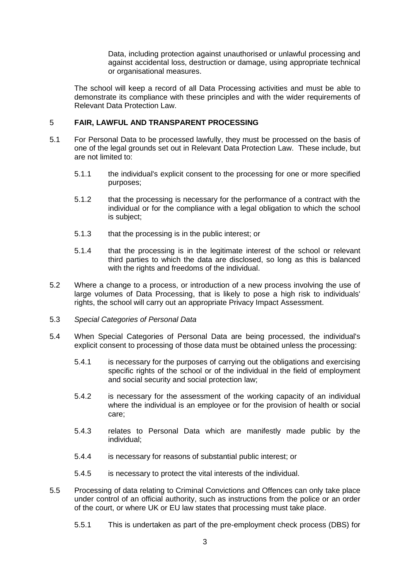Data, including protection against unauthorised or unlawful processing and against accidental loss, destruction or damage, using appropriate technical or organisational measures.

The school will keep a record of all Data Processing activities and must be able to demonstrate its compliance with these principles and with the wider requirements of Relevant Data Protection Law.

### <span id="page-4-0"></span>5 **FAIR, LAWFUL AND TRANSPARENT PROCESSING**

- 5.1 For Personal Data to be processed lawfully, they must be processed on the basis of one of the legal grounds set out in Relevant Data Protection Law. These include, but are not limited to:
	- 5.1.1 the individual's explicit consent to the processing for one or more specified purposes;
	- 5.1.2 that the processing is necessary for the performance of a contract with the individual or for the compliance with a legal obligation to which the school is subject;
	- 5.1.3 that the processing is in the public interest; or
	- 5.1.4 that the processing is in the legitimate interest of the school or relevant third parties to which the data are disclosed, so long as this is balanced with the rights and freedoms of the individual.
- 5.2 Where a change to a process, or introduction of a new process involving the use of large volumes of Data Processing, that is likely to pose a high risk to individuals' rights, the school will carry out an appropriate Privacy Impact Assessment.
- 5.3 *Special Categories of Personal Data*
- 5.4 When Special Categories of Personal Data are being processed, the individual's explicit consent to processing of those data must be obtained unless the processing:
	- 5.4.1 is necessary for the purposes of carrying out the obligations and exercising specific rights of the school or of the individual in the field of employment and social security and social protection law;
	- 5.4.2 is necessary for the assessment of the working capacity of an individual where the individual is an employee or for the provision of health or social care;
	- 5.4.3 relates to Personal Data which are manifestly made public by the individual;
	- 5.4.4 is necessary for reasons of substantial public interest; or
	- 5.4.5 is necessary to protect the vital interests of the individual.
- 5.5 Processing of data relating to Criminal Convictions and Offences can only take place under control of an official authority, such as instructions from the police or an order of the court, or where UK or EU law states that processing must take place.
	- 5.5.1 This is undertaken as part of the pre-employment check process (DBS) for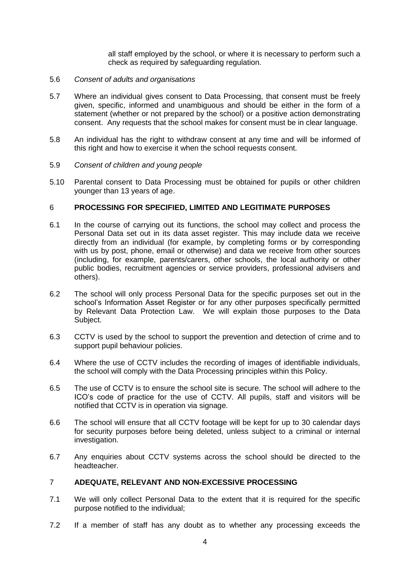all staff employed by the school, or where it is necessary to perform such a check as required by safeguarding regulation.

#### 5.6 *Consent of adults and organisations*

- 5.7 Where an individual gives consent to Data Processing, that consent must be freely given, specific, informed and unambiguous and should be either in the form of a statement (whether or not prepared by the school) or a positive action demonstrating consent. Any requests that the school makes for consent must be in clear language.
- 5.8 An individual has the right to withdraw consent at any time and will be informed of this right and how to exercise it when the school requests consent.
- 5.9 *Consent of children and young people*
- 5.10 Parental consent to Data Processing must be obtained for pupils or other children younger than 13 years of age.

### <span id="page-5-0"></span>6 **PROCESSING FOR SPECIFIED, LIMITED AND LEGITIMATE PURPOSES**

- 6.1 In the course of carrying out its functions, the school may collect and process the Personal Data set out in its data asset register. This may include data we receive directly from an individual (for example, by completing forms or by corresponding with us by post, phone, email or otherwise) and data we receive from other sources (including, for example, parents/carers, other schools, the local authority or other public bodies, recruitment agencies or service providers, professional advisers and others).
- 6.2 The school will only process Personal Data for the specific purposes set out in the school's Information Asset Register or for any other purposes specifically permitted by Relevant Data Protection Law. We will explain those purposes to the Data Subject.
- 6.3 CCTV is used by the school to support the prevention and detection of crime and to support pupil behaviour policies.
- 6.4 Where the use of CCTV includes the recording of images of identifiable individuals, the school will comply with the Data Processing principles within this Policy.
- 6.5 The use of CCTV is to ensure the school site is secure. The school will adhere to the ICO's code of practice for the use of CCTV. All pupils, staff and visitors will be notified that CCTV is in operation via signage.
- 6.6 The school will ensure that all CCTV footage will be kept for up to 30 calendar days for security purposes before being deleted, unless subject to a criminal or internal investigation.
- 6.7 Any enquiries about CCTV systems across the school should be directed to the headteacher.

### <span id="page-5-1"></span>7 **ADEQUATE, RELEVANT AND NON-EXCESSIVE PROCESSING**

- 7.1 We will only collect Personal Data to the extent that it is required for the specific purpose notified to the individual;
- 7.2 If a member of staff has any doubt as to whether any processing exceeds the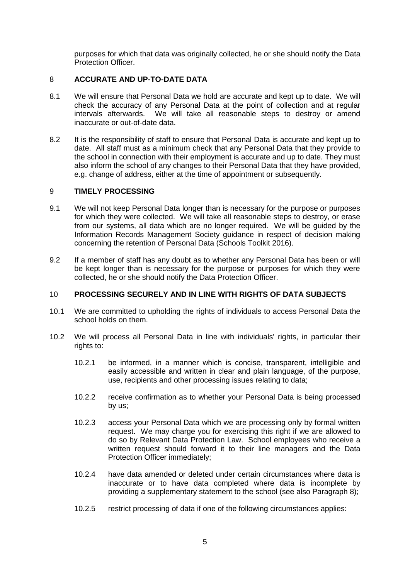purposes for which that data was originally collected, he or she should notify the Data Protection Officer.

# <span id="page-6-0"></span>8 **ACCURATE AND UP-TO-DATE DATA**

- 8.1 We will ensure that Personal Data we hold are accurate and kept up to date. We will check the accuracy of any Personal Data at the point of collection and at regular intervals afterwards. We will take all reasonable steps to destroy or amend inaccurate or out-of-date data.
- 8.2 It is the responsibility of staff to ensure that Personal Data is accurate and kept up to date. All staff must as a minimum check that any Personal Data that they provide to the school in connection with their employment is accurate and up to date. They must also inform the school of any changes to their Personal Data that they have provided, e.g. change of address, either at the time of appointment or subsequently.

#### <span id="page-6-1"></span>9 **TIMELY PROCESSING**

- 9.1 We will not keep Personal Data longer than is necessary for the purpose or purposes for which they were collected. We will take all reasonable steps to destroy, or erase from our systems, all data which are no longer required. We will be guided by the Information Records Management Society guidance in respect of decision making concerning the retention of Personal Data (Schools Toolkit 2016).
- 9.2 If a member of staff has any doubt as to whether any Personal Data has been or will be kept longer than is necessary for the purpose or purposes for which they were collected, he or she should notify the Data Protection Officer.

#### <span id="page-6-2"></span>10 **PROCESSING SECURELY AND IN LINE WITH RIGHTS OF DATA SUBJECTS**

- <span id="page-6-4"></span>10.1 We are committed to upholding the rights of individuals to access Personal Data the school holds on them.
- <span id="page-6-5"></span><span id="page-6-3"></span>10.2 We will process all Personal Data in line with individuals' rights, in particular their rights to:
	- 10.2.1 be informed, in a manner which is concise, transparent, intelligible and easily accessible and written in clear and plain language, of the purpose, use, recipients and other processing issues relating to data;
	- 10.2.2 receive confirmation as to whether your Personal Data is being processed by us;
	- 10.2.3 access your Personal Data which we are processing only by formal written request. We may charge you for exercising this right if we are allowed to do so by Relevant Data Protection Law. School employees who receive a written request should forward it to their line managers and the Data Protection Officer immediately;
	- 10.2.4 have data amended or deleted under certain circumstances where data is inaccurate or to have data completed where data is incomplete by providing a supplementary statement to the school (see also Paragraph [8\)](#page-6-0);
	- 10.2.5 restrict processing of data if one of the following circumstances applies: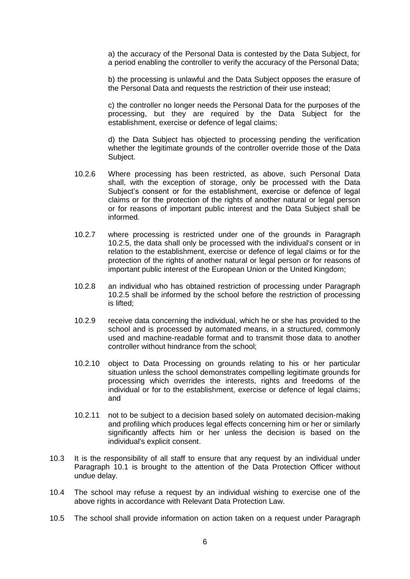a) the accuracy of the Personal Data is contested by the Data Subject, for a period enabling the controller to verify the accuracy of the Personal Data;

b) the processing is unlawful and the Data Subject opposes the erasure of the Personal Data and requests the restriction of their use instead;

c) the controller no longer needs the Personal Data for the purposes of the processing, but they are required by the Data Subject for the establishment, exercise or defence of legal claims;

d) the Data Subject has objected to processing pending the verification whether the legitimate grounds of the controller override those of the Data Subject.

- 10.2.6 Where processing has been restricted, as above, such Personal Data shall, with the exception of storage, only be processed with the Data Subject's consent or for the establishment, exercise or defence of legal claims or for the protection of the rights of another natural or legal person or for reasons of important public interest and the Data Subject shall be informed.
- 10.2.7 where processing is restricted under one of the grounds in Paragraph [10.2.5,](#page-6-3) the data shall only be processed with the individual's consent or in relation to the establishment, exercise or defence of legal claims or for the protection of the rights of another natural or legal person or for reasons of important public interest of the European Union or the United Kingdom;
- 10.2.8 an individual who has obtained restriction of processing under Paragraph [10.2.5](#page-6-3) shall be informed by the school before the restriction of processing is lifted;
- 10.2.9 receive data concerning the individual, which he or she has provided to the school and is processed by automated means, in a structured, commonly used and machine-readable format and to transmit those data to another controller without hindrance from the school;
- 10.2.10 object to Data Processing on grounds relating to his or her particular situation unless the school demonstrates compelling legitimate grounds for processing which overrides the interests, rights and freedoms of the individual or for to the establishment, exercise or defence of legal claims; and
- 10.2.11 not to be subject to a decision based solely on automated decision-making and profiling which produces legal effects concerning him or her or similarly significantly affects him or her unless the decision is based on the individual's explicit consent.
- 10.3 It is the responsibility of all staff to ensure that any request by an individual under Paragraph [10.1](#page-6-4) is brought to the attention of the Data Protection Officer without undue delay.
- 10.4 The school may refuse a request by an individual wishing to exercise one of the above rights in accordance with Relevant Data Protection Law.
- 10.5 The school shall provide information on action taken on a request under Paragraph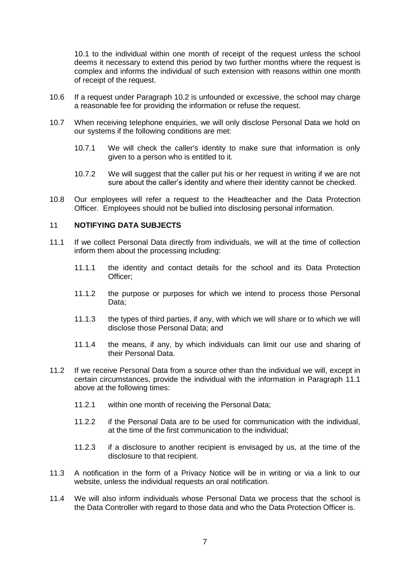[10.1](#page-6-4) to the individual within one month of receipt of the request unless the school deems it necessary to extend this period by two further months where the request is complex and informs the individual of such extension with reasons within one month of receipt of the request.

- 10.6 If a request under Paragraph [10.2](#page-6-5) is unfounded or excessive, the school may charge a reasonable fee for providing the information or refuse the request.
- 10.7 When receiving telephone enquiries, we will only disclose Personal Data we hold on our systems if the following conditions are met:
	- 10.7.1 We will check the caller's identity to make sure that information is only given to a person who is entitled to it.
	- 10.7.2 We will suggest that the caller put his or her request in writing if we are not sure about the caller's identity and where their identity cannot be checked.
- 10.8 Our employees will refer a request to the Headteacher and the Data Protection Officer. Employees should not be bullied into disclosing personal information.

#### <span id="page-8-0"></span>11 **NOTIFYING DATA SUBJECTS**

- <span id="page-8-1"></span>11.1 If we collect Personal Data directly from individuals, we will at the time of collection inform them about the processing including:
	- 11.1.1 the identity and contact details for the school and its Data Protection Officer;
	- 11.1.2 the purpose or purposes for which we intend to process those Personal Data;
	- 11.1.3 the types of third parties, if any, with which we will share or to which we will disclose those Personal Data; and
	- 11.1.4 the means, if any, by which individuals can limit our use and sharing of their Personal Data.
- 11.2 If we receive Personal Data from a source other than the individual we will, except in certain circumstances, provide the individual with the information in Paragraph [11.1](#page-8-1) above at the following times:
	- 11.2.1 within one month of receiving the Personal Data;
	- 11.2.2 if the Personal Data are to be used for communication with the individual, at the time of the first communication to the individual;
	- 11.2.3 if a disclosure to another recipient is envisaged by us, at the time of the disclosure to that recipient.
- 11.3 A notification in the form of a Privacy Notice will be in writing or via a link to our website, unless the individual requests an oral notification.
- 11.4 We will also inform individuals whose Personal Data we process that the school is the Data Controller with regard to those data and who the Data Protection Officer is.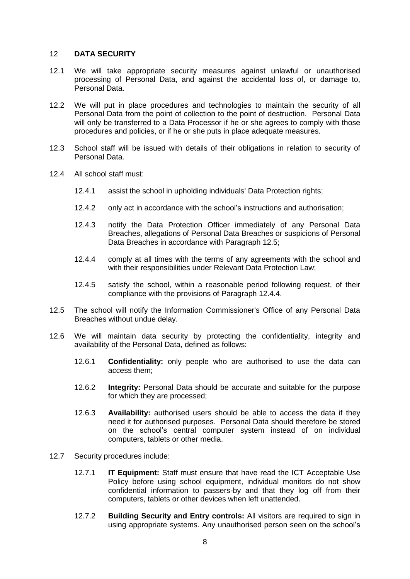### <span id="page-9-0"></span>12 **DATA SECURITY**

- <span id="page-9-3"></span>12.1 We will take appropriate security measures against unlawful or unauthorised processing of Personal Data, and against the accidental loss of, or damage to, Personal Data.
- 12.2 We will put in place procedures and technologies to maintain the security of all Personal Data from the point of collection to the point of destruction. Personal Data will only be transferred to a Data Processor if he or she agrees to comply with those procedures and policies, or if he or she puts in place adequate measures.
- 12.3 School staff will be issued with details of their obligations in relation to security of Personal Data.
- 12.4 All school staff must:
	- 12.4.1 assist the school in upholding individuals' Data Protection rights;
	- 12.4.2 only act in accordance with the school's instructions and authorisation;
	- 12.4.3 notify the Data Protection Officer immediately of any Personal Data Breaches, allegations of Personal Data Breaches or suspicions of Personal Data Breaches in accordance with Paragraph [12.5;](#page-9-1)
	- 12.4.4 comply at all times with the terms of any agreements with the school and with their responsibilities under Relevant Data Protection Law;
	- 12.4.5 satisfy the school, within a reasonable period following request, of their compliance with the provisions of Paragraph [12.4.4.](#page-9-2)
- <span id="page-9-2"></span><span id="page-9-1"></span>12.5 The school will notify the Information Commissioner's Office of any Personal Data Breaches without undue delay.
- 12.6 We will maintain data security by protecting the confidentiality, integrity and availability of the Personal Data, defined as follows:
	- 12.6.1 **Confidentiality:** only people who are authorised to use the data can access them;
	- 12.6.2 **Integrity:** Personal Data should be accurate and suitable for the purpose for which they are processed;
	- 12.6.3 **Availability:** authorised users should be able to access the data if they need it for authorised purposes. Personal Data should therefore be stored on the school's central computer system instead of on individual computers, tablets or other media.
- 12.7 Security procedures include:
	- 12.7.1 **IT Equipment:** Staff must ensure that have read the ICT Acceptable Use Policy before using school equipment, individual monitors do not show confidential information to passers-by and that they log off from their computers, tablets or other devices when left unattended.
	- 12.7.2 **Building Security and Entry controls:** All visitors are required to sign in using appropriate systems. Any unauthorised person seen on the school's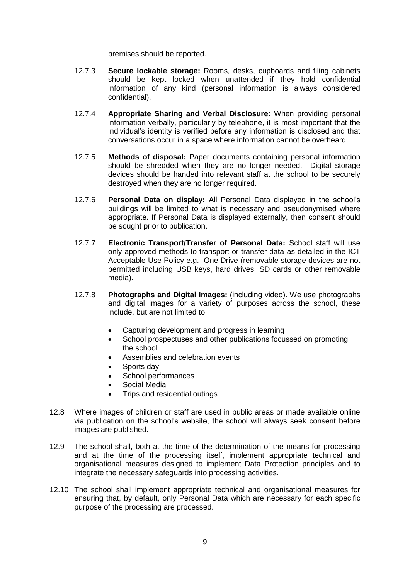premises should be reported.

- 12.7.3 **Secure lockable storage:** Rooms, desks, cupboards and filing cabinets should be kept locked when unattended if they hold confidential information of any kind (personal information is always considered confidential).
- 12.7.4 **Appropriate Sharing and Verbal Disclosure:** When providing personal information verbally, particularly by telephone, it is most important that the individual's identity is verified before any information is disclosed and that conversations occur in a space where information cannot be overheard.
- 12.7.5 **Methods of disposal:** Paper documents containing personal information should be shredded when they are no longer needed. Digital storage devices should be handed into relevant staff at the school to be securely destroyed when they are no longer required.
- 12.7.6 **Personal Data on display:** All Personal Data displayed in the school's buildings will be limited to what is necessary and pseudonymised where appropriate. If Personal Data is displayed externally, then consent should be sought prior to publication.
- 12.7.7 **Electronic Transport/Transfer of Personal Data:** School staff will use only approved methods to transport or transfer data as detailed in the ICT Acceptable Use Policy e.g. One Drive (removable storage devices are not permitted including USB keys, hard drives, SD cards or other removable media).
- 12.7.8 **Photographs and Digital Images:** (including video). We use photographs and digital images for a variety of purposes across the school, these include, but are not limited to:
	- Capturing development and progress in learning
	- School prospectuses and other publications focussed on promoting the school
	- Assemblies and celebration events
	- Sports day
	- School performances
	- Social Media
	- Trips and residential outings
- 12.8 Where images of children or staff are used in public areas or made available online via publication on the school's website, the school will always seek consent before images are published.
- 12.9 The school shall, both at the time of the determination of the means for processing and at the time of the processing itself, implement appropriate technical and organisational measures designed to implement Data Protection principles and to integrate the necessary safeguards into processing activities.
- 12.10 The school shall implement appropriate technical and organisational measures for ensuring that, by default, only Personal Data which are necessary for each specific purpose of the processing are processed.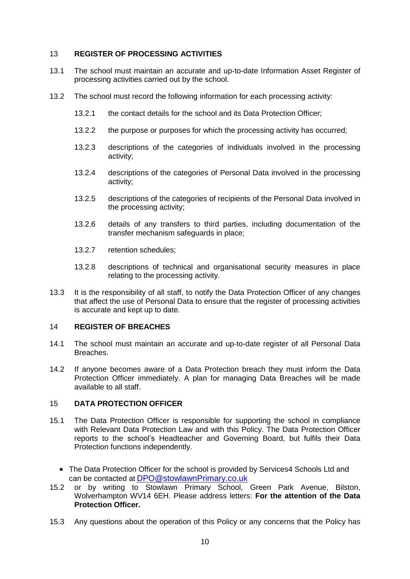## <span id="page-11-0"></span>13 **REGISTER OF PROCESSING ACTIVITIES**

- 13.1 The school must maintain an accurate and up-to-date Information Asset Register of processing activities carried out by the school.
- 13.2 The school must record the following information for each processing activity:
	- 13.2.1 the contact details for the school and its Data Protection Officer;
	- 13.2.2 the purpose or purposes for which the processing activity has occurred;
	- 13.2.3 descriptions of the categories of individuals involved in the processing activity;
	- 13.2.4 descriptions of the categories of Personal Data involved in the processing activity;
	- 13.2.5 descriptions of the categories of recipients of the Personal Data involved in the processing activity;
	- 13.2.6 details of any transfers to third parties, including documentation of the transfer mechanism safeguards in place;
	- 13.2.7 retention schedules;
	- 13.2.8 descriptions of technical and organisational security measures in place relating to the processing activity.
- 13.3 It is the responsibility of all staff, to notify the Data Protection Officer of any changes that affect the use of Personal Data to ensure that the register of processing activities is accurate and kept up to date.

#### <span id="page-11-1"></span>14 **REGISTER OF BREACHES**

- 14.1 The school must maintain an accurate and up-to-date register of all Personal Data Breaches.
- 14.2 If anyone becomes aware of a Data Protection breach they must inform the Data Protection Officer immediately. A plan for managing Data Breaches will be made available to all staff.

## <span id="page-11-2"></span>15 **DATA PROTECTION OFFICER**

- 15.1 The Data Protection Officer is responsible for supporting the school in compliance with Relevant Data Protection Law and with this Policy. The Data Protection Officer reports to the school's Headteacher and Governing Board, but fulfils their Data Protection functions independently.
	- The Data Protection Officer for the school is provided by Services4 Schools Ltd and can be contacted at [DPO@stowlawnPrimary.co.uk](mailto:Stowlawnprimary.GroupEmail@wovlerhampton.gov.uk)
- 15.2 or by writing to Stowlawn Primary School, Green Park Avenue, Bilston, Wolverhampton WV14 6EH. Please address letters: **For the attention of the Data Protection Officer.**
- 15.3 Any questions about the operation of this Policy or any concerns that the Policy has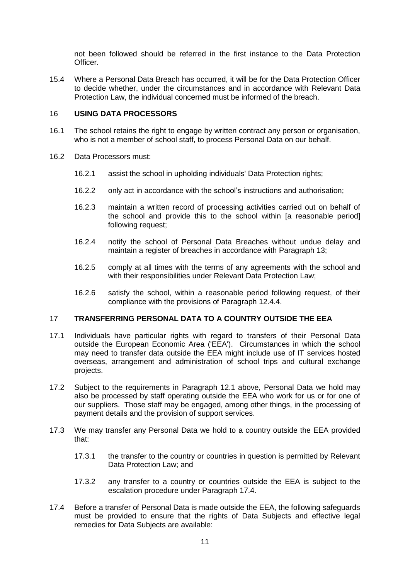not been followed should be referred in the first instance to the Data Protection Officer.

15.4 Where a Personal Data Breach has occurred, it will be for the Data Protection Officer to decide whether, under the circumstances and in accordance with Relevant Data Protection Law, the individual concerned must be informed of the breach.

#### <span id="page-12-0"></span>16 **USING DATA PROCESSORS**

- 16.1 The school retains the right to engage by written contract any person or organisation, who is not a member of school staff, to process Personal Data on our behalf.
- 16.2 Data Processors must:
	- 16.2.1 assist the school in upholding individuals' Data Protection rights;
	- 16.2.2 only act in accordance with the school's instructions and authorisation;
	- 16.2.3 maintain a written record of processing activities carried out on behalf of the school and provide this to the school within [a reasonable period] following request;
	- 16.2.4 notify the school of Personal Data Breaches without undue delay and maintain a register of breaches in accordance with Paragraph [13;](#page-11-0)
	- 16.2.5 comply at all times with the terms of any agreements with the school and with their responsibilities under Relevant Data Protection Law;
	- 16.2.6 satisfy the school, within a reasonable period following request, of their compliance with the provisions of Paragraph [12.4.4.](#page-9-2)

#### <span id="page-12-1"></span>17 **TRANSFERRING PERSONAL DATA TO A COUNTRY OUTSIDE THE EEA**

- 17.1 Individuals have particular rights with regard to transfers of their Personal Data outside the European Economic Area ('EEA'). Circumstances in which the school may need to transfer data outside the EEA might include use of IT services hosted overseas, arrangement and administration of school trips and cultural exchange projects.
- 17.2 Subject to the requirements in Paragraph [12.1](#page-9-3) above, Personal Data we hold may also be processed by staff operating outside the EEA who work for us or for one of our suppliers. Those staff may be engaged, among other things, in the processing of payment details and the provision of support services.
- 17.3 We may transfer any Personal Data we hold to a country outside the EEA provided that:
	- 17.3.1 the transfer to the country or countries in question is permitted by Relevant Data Protection Law; and
	- 17.3.2 any transfer to a country or countries outside the EEA is subject to the escalation procedure under Paragraph [17.4.](#page-12-2)
- <span id="page-12-2"></span>17.4 Before a transfer of Personal Data is made outside the EEA, the following safeguards must be provided to ensure that the rights of Data Subjects and effective legal remedies for Data Subjects are available: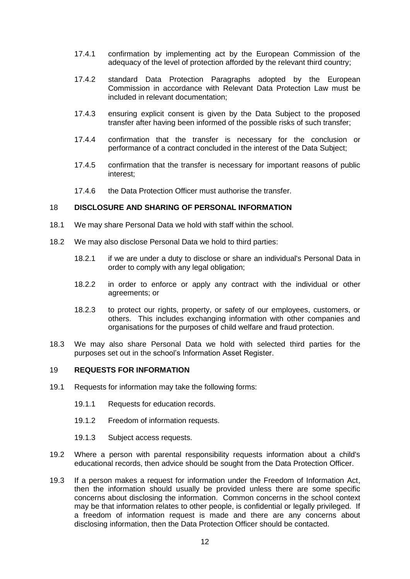- 17.4.1 confirmation by implementing act by the European Commission of the adequacy of the level of protection afforded by the relevant third country;
- 17.4.2 standard Data Protection Paragraphs adopted by the European Commission in accordance with Relevant Data Protection Law must be included in relevant documentation;
- 17.4.3 ensuring explicit consent is given by the Data Subject to the proposed transfer after having been informed of the possible risks of such transfer;
- 17.4.4 confirmation that the transfer is necessary for the conclusion or performance of a contract concluded in the interest of the Data Subject;
- 17.4.5 confirmation that the transfer is necessary for important reasons of public interest;
- 17.4.6 the Data Protection Officer must authorise the transfer.

### <span id="page-13-0"></span>18 **DISCLOSURE AND SHARING OF PERSONAL INFORMATION**

- 18.1 We may share Personal Data we hold with staff within the school.
- 18.2 We may also disclose Personal Data we hold to third parties:
	- 18.2.1 if we are under a duty to disclose or share an individual's Personal Data in order to comply with any legal obligation;
	- 18.2.2 in order to enforce or apply any contract with the individual or other agreements; or
	- 18.2.3 to protect our rights, property, or safety of our employees, customers, or others. This includes exchanging information with other companies and organisations for the purposes of child welfare and fraud protection.
- 18.3 We may also share Personal Data we hold with selected third parties for the purposes set out in the school's Information Asset Register.

#### <span id="page-13-1"></span>19 **REQUESTS FOR INFORMATION**

- 19.1 Requests for information may take the following forms:
	- 19.1.1 Requests for education records.
	- 19.1.2 Freedom of information requests.
	- 19.1.3 Subject access requests.
- 19.2 Where a person with parental responsibility requests information about a child's educational records, then advice should be sought from the Data Protection Officer.
- 19.3 If a person makes a request for information under the Freedom of Information Act, then the information should usually be provided unless there are some specific concerns about disclosing the information. Common concerns in the school context may be that information relates to other people, is confidential or legally privileged. If a freedom of information request is made and there are any concerns about disclosing information, then the Data Protection Officer should be contacted.